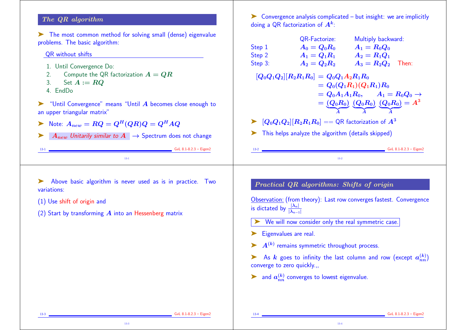## The QR algorithm

➤ The most common method for solving small (dense) eigenvalue problems. The basic algorithm:

### QR without shifts

- 1. Until Convergence Do:
- 2. Compute the QR factorization  $A = QR$
- 3. Set  $A := RQ$
- 4. EndDo

➤ "Until Convergence" means "Until A becomes close enough to an upper triangular matrix"

- $\blacktriangleright$  Note:  $A_{new} = RQ = Q^H(QR)Q = Q^HAQ$
- $\blacktriangleright$  A<sub>new</sub> Unitarily similar to  $A \rightarrow$  Spectrum does not change

13-1 GvL 8.1-8.2.3 – Eigen2 13-1

 $\triangleright$  Convergence analysis complicated – but insight: we are implicitly doing a QR factorization of  $\bm{A^k}$ :

|         | QR-Factorize:                                                                                        | Multiply backward:                                                                         |
|---------|------------------------------------------------------------------------------------------------------|--------------------------------------------------------------------------------------------|
| Step 1  | $A_0 = Q_0 R_0$                                                                                      | $A_1 = R_0 Q_0$                                                                            |
| Step 2  | $A_1 = Q_1 R_1$ $A_2 = R_1 Q_1$                                                                      |                                                                                            |
| Step 3: | $A_2 = Q_2 R_2$                                                                                      | $A_3=R_2Q_2$ Then:                                                                         |
|         | $[Q_0 Q_1 Q_2] [R_2 R_1 R_0] = Q_0 Q_1 A_2 R_1 R_0$                                                  |                                                                                            |
|         |                                                                                                      | $= Q_0(Q_1R_1)(Q_1R_1)R_0$                                                                 |
|         |                                                                                                      | $Q_0A_1A_1R_0, \qquad A_1=R_0Q_0\rightarrow 0$                                             |
|         |                                                                                                      | $=\left( Q_{0}R_{0}\right) \, \left( Q_{0}R_{0}\right) \, \left( Q_{0}R_{0}\right) =A^{3}$ |
|         |                                                                                                      |                                                                                            |
|         | $\blacktriangleright \,\,\, [Q_0Q_1Q_2][R_2R_1R_0] = = \mathbb{Q} \mathsf{R}$ factorization of $A^3$ |                                                                                            |
|         | This helps analyze the algorithm (details skipped)                                                   |                                                                                            |
|         |                                                                                                      |                                                                                            |
| $13-2$  |                                                                                                      | $GvL$ 8.1-8.2.3 – Eigen2                                                                   |
|         |                                                                                                      |                                                                                            |

- ➤ Above basic algorithm is never used as is in practice. Two variations:
- (1) Use shift of origin and
- (2) Start by transforming  $\vec{A}$  into an Hessenberg matrix

Practical QR algorithms: Shifts of origin

Observation: (from theory): Last row converges fastest. Convergence is dictated by  $\frac{|\lambda_n|}{|\lambda_{n-1}|}$ 

- We will now consider only the real symmetric case.
- ▶ Eigenvalues are real.
- $\blacktriangleright$   $A^{(k)}$  remains symmetric throughout process.

As k goes to infinity the last column and row (except  $a_{nn}^{(k)}$ ) converge to zero quickly.,,

13-4

in and  $a_{nn}^{(k)}$  converges to lowest eigenvalue.

13-3 GvL 8.1-8.2.3 – Eigen2

13-4 **GvL 8.1-8.2.3 – Eigen**2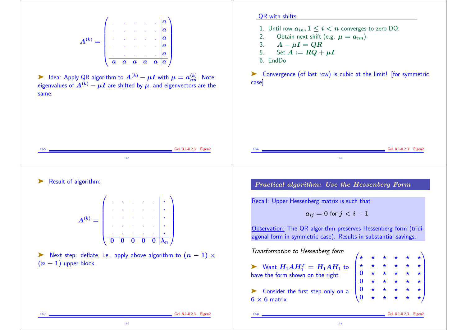A(k) = . . . . . a . . . . . a . . . . . a . . . . . a . . . . . a a a a a a a ➤ Idea: Apply QR algorithm to A(k) − µI with µ = a (k) nn. Note: eigenvalues of A(k) − µI are shifted by µ, and eigenvectors are the same. 13-5 GvL 8.1-8.2.3 – Eigen2 13-5 QR with shifts 1. Until row ain, 1 ≤ i < n converges to zero DO: 2. Obtain next shift (e.g. µ = ann) 3. A − µI = QR 5. Set A := RQ + µI 6. EndDo ➤ Convergence (of last row) is cubic at the limit! [for symmetric case] 13-6 GvL 8.1-8.2.3 – Eigen2 13-6 ➤ Result of algorithm: A(k) = . . . . . . . . . . . . . . . . . . . . . . . . . . . . . . 0 0 0 0 0 λ<sup>n</sup> ➤ Next step: deflate, i.e., apply above algorithm to (n − 1) × (n − 1) upper block. 13-7 GvL 8.1-8.2.3 – Eigen2 Practical algorithm: Use the Hessenberg Form Recall: Upper Hessenberg matrix is such that aij = 0 for j < i − 1 Observation: The QR algorithm preserves Hessenberg form (tridiagonal form in symmetric case). Results in substantial savings. Transformation to Hessenberg form ➤ Want H1AH<sup>T</sup> <sup>1</sup> = H1AH<sup>1</sup> to have the form shown on the right ➤ Consider the first step only on a 6 × 6 matrix ? ? ? ? ? ? ? ? ? ? ? ? 0 ? ? ? ? ? 0 ? ? ? ? ? 0 ? ? ? ? ? 0 ? ? ? ? ? 13-8 GvL 8.1-8.2.3 – Eigen2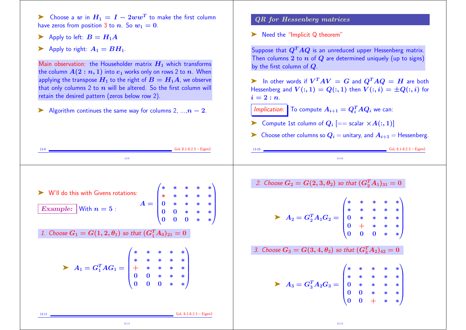► Choose a  $w$  in  $H_1 = I - 2ww^T$  to make the first column have zeros from position 3 to n. So  $w_1 = 0$ .

- $\blacktriangleright$  Apply to left:  $B = H_1 A$
- $\blacktriangleright$  Apply to right:  $A_1 = BH_1$ .

Main observation: the Householder matrix  $H_1$  which transforms the column  $A(2:n, 1)$  into  $e_1$  works only on rows 2 to n. When applying the transpose  $H_1$  to the right of  $B = H_1A$ , we observe that only columns 2 to  $n$  will be altered. So the first column will retain the desired pattern (zeros below row 2).

Algorithm continues the same way for columns 2,  $\dots n-2$ .

13-9 GvL 8.1-8.2.3 – Eigen2

### QR for Hessenberg matrices

▶ Need the "Implicit Q theorem"

Suppose that  $Q^T A Q$  is an unreduced upper Hessenberg matrix. Then columns 2 to  $n$  of  $Q$  are determined uniquely (up to signs) by the first column of Q.

 $\blacktriangleright$  In other words if  $V^TAV = G$  and  $Q^TAQ = H$  are both Hessenberg and  $V(:, 1) = Q(:, 1)$  then  $V(:, i) = \pm Q(:, i)$  for  $i=2:n$ .

*Implication:* To compute  $A_{i+1} = Q_i^T A Q_i$  we can:

- $\blacktriangleright$  Compute 1st column of  $Q_i$   $[==$  scalar  $\times A(:,1)]$
- $\triangleright$  Choose other columns so  $Q_i =$  unitary, and  $A_{i+1} =$  Hessenberg.

13-10 GvL 8.1-8.2.3 – Eigen2 13-10

 $\sqrt{*}$ 

∗ ∗ ∗ ∗ ∗ ∗ ∗ ∗ ∗ ∗ 0 ∗ ∗ ∗ ∗ 0 + \* \* \* <mark>\*</mark>  $0 \t 0 \t *\t *\t/$ 

∗ ∗ ∗ ∗ ∗ ∗ ∗ ∗ ∗ ∗ 0 ∗ ∗ ∗ ∗ 0 0 ∗ ∗ ∗  $0 \t 0 + * *$ 

 $\sum_{i=1}^{n}$ 

 $\sum_{i=1}^{n}$ 

 $\begin{bmatrix} * & 0 \\ 0 & 0 \\ 0 & 0 \end{bmatrix}$ 

 $\sqrt{*}$ 

 $\begin{bmatrix} * & 0 \\ 0 & 0 \\ 0 & 0 \end{bmatrix}$ 

13-9 ➤ W'll do this with Givens rotations: Example: With  $n=5$  :  $A = |$  $\sqrt{*}$  $\begin{bmatrix} * & 0 \\ 0 & 0 \\ 0 & 0 \end{bmatrix}$ ∗ ∗ ∗ ∗ ∗ ∗ ∗ ∗ ∗ ∗ 0 ∗ ∗ ∗ ∗ 0 0 ∗ ∗ ∗  $0 \t 0 \t *\t *\t/$  $\sum_{i=1}^{n}$  $\begin{array}{c} \hline \end{array}$ 1. Choose  $G_1=G(1,2,\theta_1)$  so that  $(G_1^TA_0)_{21}=0$  $\blacktriangleright$   $A_1 = G_1^T A G_1 =$  $\frac{1}{\ast}$  $\begin{array}{c} * \\ + \\ 0 \\ - \end{array}$ ∗ ∗ ∗ ∗ ∗ ∗ ∗ ∗ ∗ ∗ + ∗ ∗ ∗ ∗ 0 0 ∗ ∗ ∗  $0 \t 0 \t *\t *\t/$  $\sum_{i=1}^{n}$  $\begin{array}{c} \hline \end{array}$ 13-11 GvL 8.1-8.2.3 – Eigen2 13-11 2. Choose  $G_2=G(2,3,\theta_2)$  so that  $(G_2^TA_1)_{31}=0$  $\blacktriangleright$   $A_2 = G_2^T A_1 G_2 =$ 3. Choose  $G_3=G(3,4,\theta_3)$  so that  $(G_3^TA_2)_{42}=0$  $\blacktriangleright$   $A_3 = G_3^T A_2 G_3 =$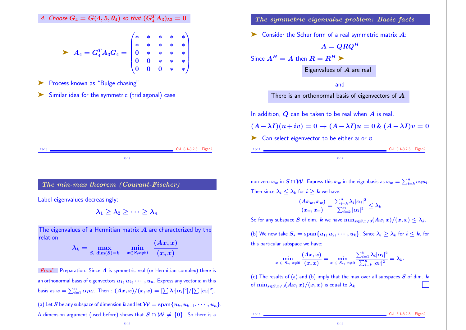| 4. Choose $G_4 = G(4, 5, \theta_4)$ so that $(G_4^T A_3)_{53} = 0$                                                                                                         | The symmetric eigenvalue problem: Basic facts         |                               |
|----------------------------------------------------------------------------------------------------------------------------------------------------------------------------|-------------------------------------------------------|-------------------------------|
| $\triangleright A_4 = G_4^T A_3 G_4 = \begin{pmatrix} * & * & * & * & * \\ * & * & * & * & * \\ 0 & * & * & * & * \\ 0 & 0 & * & * & * \\ 0 & 0 & 0 & * & * \end{pmatrix}$ | Consider the Schur form of a real symmetric matrix A: |                               |
| $\triangleright$ Consider the Schur form of a real symmetric matrix A:                                                                                                     |                                                       |                               |
| $A = Q R Q^H$                                                                                                                                                              | Since $A^H = A$ then $R = R^H$                        | Eigenvalues of A are real and |
| $\triangleright$ Similar idea for the symmetric (tridiagonal) case                                                                                                         | There is an orthonormal basis of eigenvectors of A    |                               |
| In addition, Q can be taken to be real when A is real.                                                                                                                     |                                                       |                               |
| $(A - \lambda I)(u + iv) = 0 \rightarrow (A - \lambda I)u = 0$ & $(A - \lambda I)v = 0$                                                                                    |                                                       |                               |
| Can select eigenvector to be either u or v                                                                                                                                 |                                                       |                               |

# The min-max theorem (Courant-Fischer)

Label eigenvalues decreasingly:

 $\lambda_1 > \lambda_2 > \cdots > \lambda_n$ 

The eigenvalues of a Hermitian matrix  $A$  are characterized by the relation

 $\lambda_k = \max_{S, \; \dim(S) = k} \quad \min_{x \in S, x \neq 0}$  $x{\in}S{,}x{\neq}0$  $(Ax, x)$  $(\boldsymbol{x}, \boldsymbol{x})$ 

**Proof:** Preparation: Since  $A$  is symmetric real (or Hermitian complex) there is an orthonormal basis of eigenvectors  $u_1, u_2, \cdots, u_n$ . Express any vector  $x$  in this basis as  $x = \sum_{i=1}^n \alpha_i u_i$ . Then :  $(Ax, x)/(x, x) = [\sum \lambda_i |\alpha_i|^2]/[\sum |\alpha_i|^2]$ . (a) Let S be any subspace of dimension k and let  $\mathcal{W} = \mathrm{span}\{u_k, u_{k+1}, \cdots, u_n\}.$ A dimension argument (used before) shows that  $S \cap W \neq \{0\}$ . So there is a

non-zero  $x_w$  in  $S \cap \mathcal{W}$ . Express this  $x_w$  in the eigenbasis as  $x_w = \sum_{i=k}^n \alpha_i u_i$ . Then since  $\lambda_i \leq \lambda_k$  for  $i \geq k$  we have:

$$
\frac{(Ax_w, x_w)}{(x_w, x_w)} = \frac{\sum_{i=k}^n \lambda_i |\alpha_i|^2}{\sum_{i=k}^n |\alpha_i|^2} \leq \lambda_k
$$

So for any subspace S of dim. k we have  $\min_{x \in S, x \neq 0} (Ax, x)/(x, x) \leq \lambda_k$ .

(b) We now take  $S_* = \text{span}\{u_1, u_2, \cdots, u_k\}$ . Since  $\lambda_i \geq \lambda_k$  for  $i \leq k$ , for this particular subspace we have:

$$
\min_{x\;\in\;S_*,\;x\ne 0}\frac{(Ax,x)}{(x,x)}=\min_{x\;\in\;S_*,\;x\ne 0}\frac{\sum_{i=1}^k\lambda_i|\alpha_i|^2}{\sum_{i=k}^n|\alpha_i|^2}=\lambda_k.
$$

(c) The results of (a) and (b) imply that the max over all subspaces  $S$  of dim.  $k$ of  $\min_{x\in S, x\neq 0}(Ax,x)/(x,x)$  is equal to  $\lambda_k$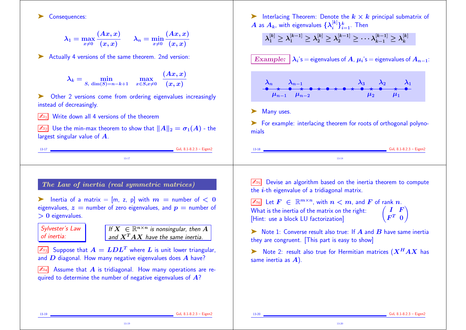

13-19

13-20 **GvL 8.1-8.2.3 – Eigen2**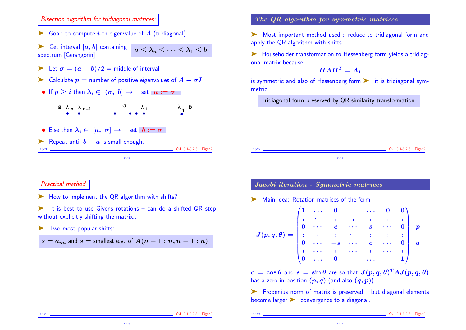### Bisection algorithm for tridiagonal matrices:

 $\triangleright$  Goal: to compute *i*-th eigenvalue of A (tridiagonal)

ightharpoontal  $[a, b]$  containing  $a \leq \lambda_n \leq \cdots \leq \lambda_1 \leq b$ spectrum [Gershgorin]:

- Example 1 Let  $\sigma = (a + b)/2$  = middle of interval
- $\triangleright$  Calculate  $p =$  number of positive eigenvalues of  $A \sigma I$
- If  $p > i$  then  $\lambda_i \in (\sigma, b] \rightarrow \sigma$  set  $a := \sigma$



13-21

- Else then  $\lambda_i \in [a, \sigma] \rightarrow$  set  $b := \sigma$
- ► Repeat until  $b a$  is small enough.

# The QR algorithm for symmetric matrices

➤ Most important method used : reduce to tridiagonal form and apply the QR algorithm with shifts.

➤ Householder transformation to Hessenberg form yields a tridiagonal matrix because

$$
HAH^T=A_1
$$

is symmetric and also of Hessenberg form  $\triangleright$  it is tridiagonal symmetric.

Tridiagonal form preserved by QR similarity transformation

13-22 **GvL 8.1-8.2.3 – Eigen2 GvL 8.1-8.2.3 – Eigen2** 13-22

### Practical method

- ► How to implement the QR algorithm with shifts?
- It is best to use Givens rotations can do a shifted QR step without explicitly shifting the matrix..
- ➤ Two most popular shifts:

$$
s = a_{nn} \text{ and } s = \text{smallest e.v. of } A(n-1:n, n-1:n)
$$

# Jacobi iteration - Symmetric matrices

Main idea: Rotation matrices of the form

| $J(p,q,\theta) = \begin{pmatrix} 1 & \ldots & 0 & & \ldots & 0 & 0 \ \vdots & \ddots & \vdots & \vdots & \vdots & \vdots & \vdots \ 0 & \ldots & c & \ldots & s & \ldots & 0 \ \vdots & \ldots & \vdots & \ddots & \vdots & \vdots & \vdots \ 0 & \ldots & -s & \ldots & c & \ldots & 0 \ \vdots & \ldots & \vdots & \ldots & \vdots & \ldots & \vdots \end{pmatrix} \begin{array}{c} p \end{array}$ |  |                         |  |  |  |
|------------------------------------------------------------------------------------------------------------------------------------------------------------------------------------------------------------------------------------------------------------------------------------------------------------------------------------------------------------------------------------------------------|--|-------------------------|--|--|--|
|                                                                                                                                                                                                                                                                                                                                                                                                      |  |                         |  |  |  |
|                                                                                                                                                                                                                                                                                                                                                                                                      |  |                         |  |  |  |
|                                                                                                                                                                                                                                                                                                                                                                                                      |  |                         |  |  |  |
|                                                                                                                                                                                                                                                                                                                                                                                                      |  |                         |  |  |  |
|                                                                                                                                                                                                                                                                                                                                                                                                      |  |                         |  |  |  |
|                                                                                                                                                                                                                                                                                                                                                                                                      |  | $\overline{\mathbf{0}}$ |  |  |  |

 $c = \cos \theta$  and  $s = \sin \theta$  are so that  $J(p, q, \theta)^T A J(p, q, \theta)$ has a zero in position  $(p, q)$  (and also  $(q, p)$ )

➤ Frobenius norm of matrix is preserved – but diagonal elements become larger in convergence to a diagonal.

13-24

13-23 GvL 8.1-8.2.3 – Eigen2

13-31 GvL 8.1-8.2.3 – Eigen2